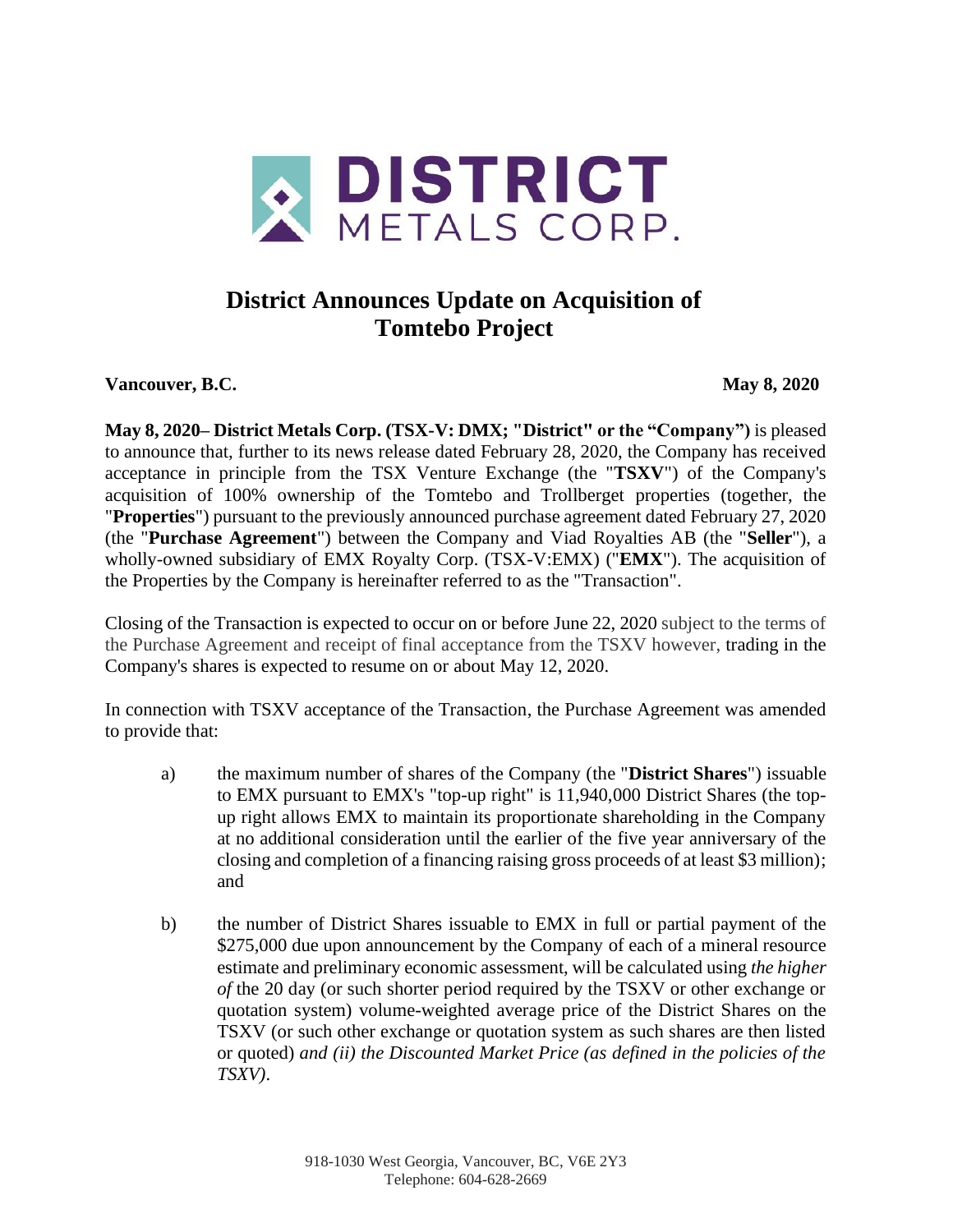

# **District Announces Update on Acquisition of Tomtebo Project**

**Vancouver, B.C. May 8, 2020**

**May 8, 2020– District Metals Corp. (TSX-V: DMX; "District" or the "Company")** is pleased to announce that, further to its news release dated February 28, 2020, the Company has received acceptance in principle from the TSX Venture Exchange (the "**TSXV**") of the Company's acquisition of 100% ownership of the Tomtebo and Trollberget properties (together, the "**Properties**") pursuant to the previously announced purchase agreement dated February 27, 2020 (the "**Purchase Agreement**") between the Company and Viad Royalties AB (the "**Seller**"), a wholly-owned subsidiary of EMX Royalty Corp. (TSX-V:EMX) ("**EMX**"). The acquisition of the Properties by the Company is hereinafter referred to as the "Transaction".

Closing of the Transaction is expected to occur on or before June 22, 2020 subject to the terms of the Purchase Agreement and receipt of final acceptance from the TSXV however, trading in the Company's shares is expected to resume on or about May 12, 2020.

In connection with TSXV acceptance of the Transaction, the Purchase Agreement was amended to provide that:

- a) the maximum number of shares of the Company (the "**District Shares**") issuable to EMX pursuant to EMX's "top-up right" is 11,940,000 District Shares (the topup right allows EMX to maintain its proportionate shareholding in the Company at no additional consideration until the earlier of the five year anniversary of the closing and completion of a financing raising gross proceeds of at least \$3 million); and
- b) the number of District Shares issuable to EMX in full or partial payment of the \$275,000 due upon announcement by the Company of each of a mineral resource estimate and preliminary economic assessment, will be calculated using *the higher of* the 20 day (or such shorter period required by the TSXV or other exchange or quotation system) volume-weighted average price of the District Shares on the TSXV (or such other exchange or quotation system as such shares are then listed or quoted) *and (ii) the Discounted Market Price (as defined in the policies of the TSXV)*.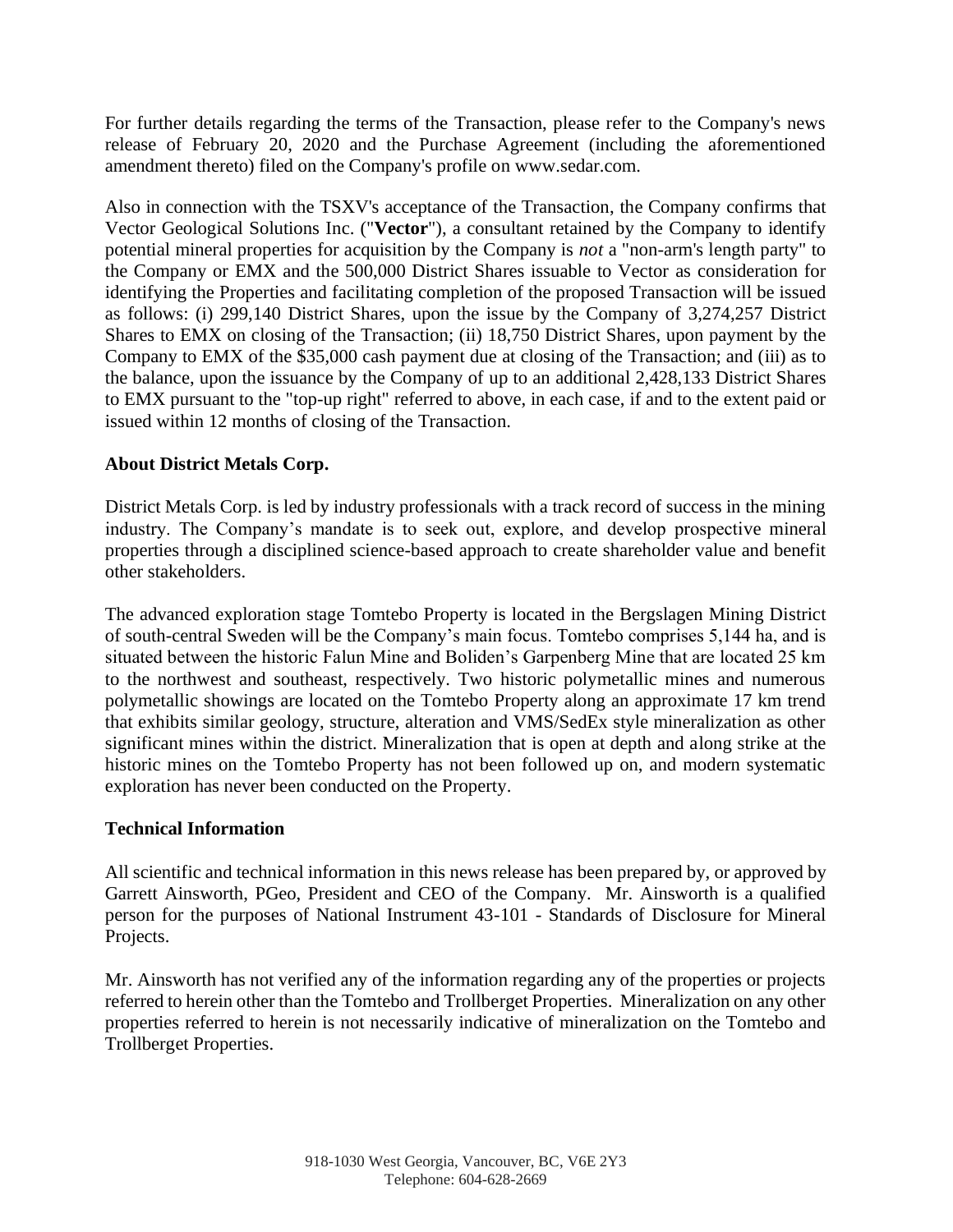For further details regarding the terms of the Transaction, please refer to the Company's news release of February 20, 2020 and the Purchase Agreement (including the aforementioned amendment thereto) filed on the Company's profile on www.sedar.com.

Also in connection with the TSXV's acceptance of the Transaction, the Company confirms that Vector Geological Solutions Inc. ("**Vector**"), a consultant retained by the Company to identify potential mineral properties for acquisition by the Company is *not* a "non-arm's length party" to the Company or EMX and the 500,000 District Shares issuable to Vector as consideration for identifying the Properties and facilitating completion of the proposed Transaction will be issued as follows: (i) 299,140 District Shares, upon the issue by the Company of 3,274,257 District Shares to EMX on closing of the Transaction; (ii) 18,750 District Shares, upon payment by the Company to EMX of the \$35,000 cash payment due at closing of the Transaction; and (iii) as to the balance, upon the issuance by the Company of up to an additional 2,428,133 District Shares to EMX pursuant to the "top-up right" referred to above, in each case, if and to the extent paid or issued within 12 months of closing of the Transaction.

## **About District Metals Corp.**

District Metals Corp. is led by industry professionals with a track record of success in the mining industry. The Company's mandate is to seek out, explore, and develop prospective mineral properties through a disciplined science-based approach to create shareholder value and benefit other stakeholders.

The advanced exploration stage Tomtebo Property is located in the Bergslagen Mining District of south-central Sweden will be the Company's main focus. Tomtebo comprises 5,144 ha, and is situated between the historic Falun Mine and Boliden's Garpenberg Mine that are located 25 km to the northwest and southeast, respectively. Two historic polymetallic mines and numerous polymetallic showings are located on the Tomtebo Property along an approximate 17 km trend that exhibits similar geology, structure, alteration and VMS/SedEx style mineralization as other significant mines within the district. Mineralization that is open at depth and along strike at the historic mines on the Tomtebo Property has not been followed up on, and modern systematic exploration has never been conducted on the Property.

### **Technical Information**

All scientific and technical information in this news release has been prepared by, or approved by Garrett Ainsworth, PGeo, President and CEO of the Company. Mr. Ainsworth is a qualified person for the purposes of National Instrument 43-101 - Standards of Disclosure for Mineral Projects.

Mr. Ainsworth has not verified any of the information regarding any of the properties or projects referred to herein other than the Tomtebo and Trollberget Properties. Mineralization on any other properties referred to herein is not necessarily indicative of mineralization on the Tomtebo and Trollberget Properties.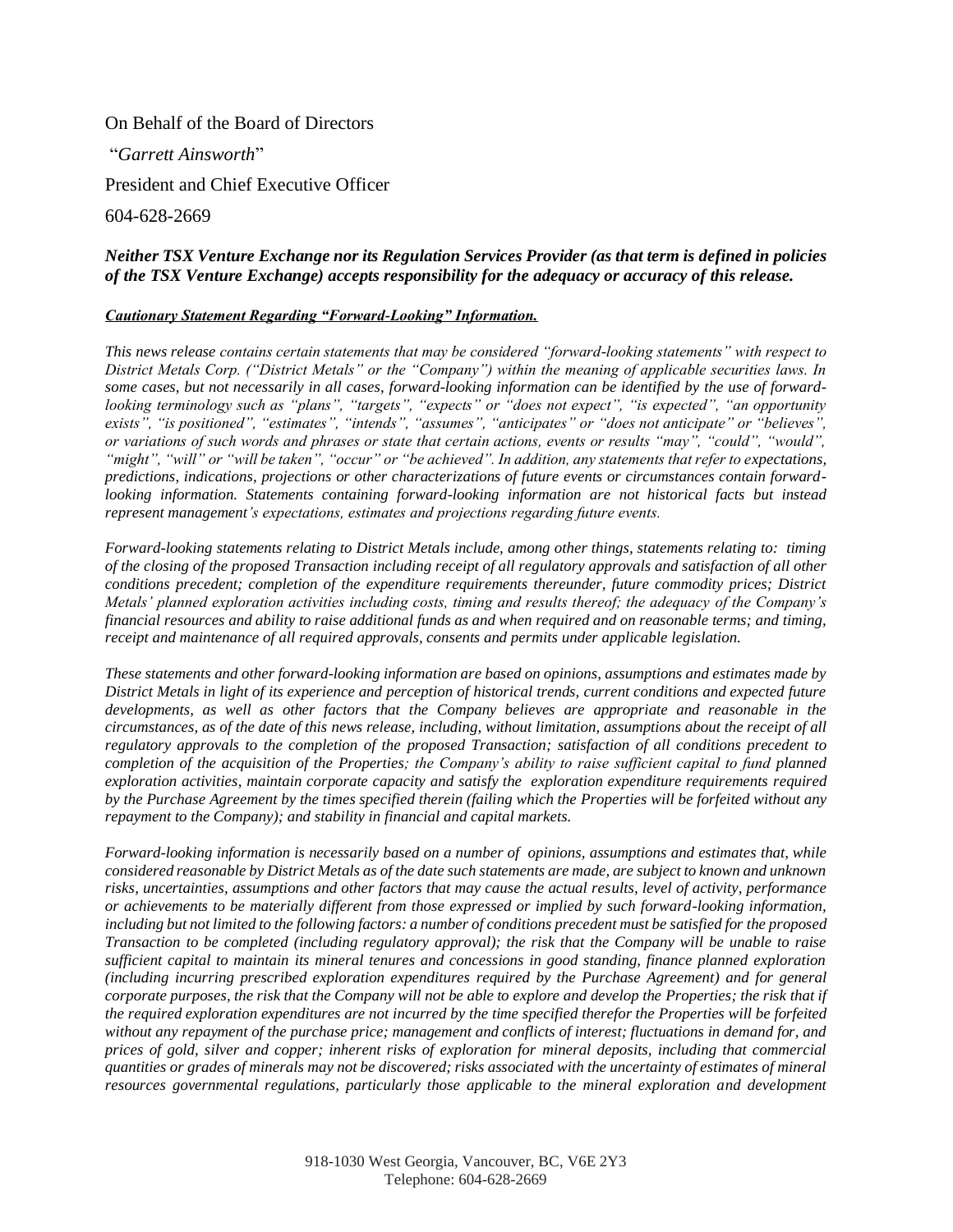On Behalf of the Board of Directors

"*Garrett Ainsworth*"

President and Chief Executive Officer

604-628-2669

#### *Neither TSX Venture Exchange nor its Regulation Services Provider (as that term is defined in policies of the TSX Venture Exchange) accepts responsibility for the adequacy or accuracy of this release.*

#### *Cautionary Statement Regarding "Forward-Looking" Information.*

*This news release contains certain statements that may be considered "forward-looking statements" with respect to District Metals Corp. ("District Metals" or the "Company") within the meaning of applicable securities laws. In some cases, but not necessarily in all cases, forward-looking information can be identified by the use of forwardlooking terminology such as "plans", "targets", "expects" or "does not expect", "is expected", "an opportunity exists", "is positioned", "estimates", "intends", "assumes", "anticipates" or "does not anticipate" or "believes", or variations of such words and phrases or state that certain actions, events or results "may", "could", "would", "might", "will" or "will be taken", "occur" or "be achieved". In addition, any statements that refer to expectations, predictions, indications, projections or other characterizations of future events or circumstances contain forwardlooking information. Statements containing forward-looking information are not historical facts but instead represent management's expectations, estimates and projections regarding future events.*

*Forward-looking statements relating to District Metals include, among other things, statements relating to: timing of the closing of the proposed Transaction including receipt of all regulatory approvals and satisfaction of all other conditions precedent; completion of the expenditure requirements thereunder, future commodity prices; District Metals' planned exploration activities including costs, timing and results thereof; the adequacy of the Company's financial resources and ability to raise additional funds as and when required and on reasonable terms; and timing, receipt and maintenance of all required approvals, consents and permits under applicable legislation.*

*These statements and other forward-looking information are based on opinions, assumptions and estimates made by District Metals in light of its experience and perception of historical trends, current conditions and expected future developments, as well as other factors that the Company believes are appropriate and reasonable in the circumstances, as of the date of this news release, including, without limitation, assumptions about the receipt of all regulatory approvals to the completion of the proposed Transaction; satisfaction of all conditions precedent to completion of the acquisition of the Properties; the Company's ability to raise sufficient capital to fund planned exploration activities, maintain corporate capacity and satisfy the exploration expenditure requirements required by the Purchase Agreement by the times specified therein (failing which the Properties will be forfeited without any repayment to the Company); and stability in financial and capital markets.* 

*Forward-looking information is necessarily based on a number of opinions, assumptions and estimates that, while considered reasonable by District Metals as of the date such statements are made, are subject to known and unknown risks, uncertainties, assumptions and other factors that may cause the actual results, level of activity, performance or achievements to be materially different from those expressed or implied by such forward-looking information, including but not limited to the following factors: a number of conditions precedent must be satisfied for the proposed Transaction to be completed (including regulatory approval); the risk that the Company will be unable to raise sufficient capital to maintain its mineral tenures and concessions in good standing, finance planned exploration (including incurring prescribed exploration expenditures required by the Purchase Agreement) and for general corporate purposes, the risk that the Company will not be able to explore and develop the Properties; the risk that if the required exploration expenditures are not incurred by the time specified therefor the Properties will be forfeited without any repayment of the purchase price; management and conflicts of interest; fluctuations in demand for, and prices of gold, silver and copper; inherent risks of exploration for mineral deposits, including that commercial quantities or grades of minerals may not be discovered; risks associated with the uncertainty of estimates of mineral resources governmental regulations, particularly those applicable to the mineral exploration and development*